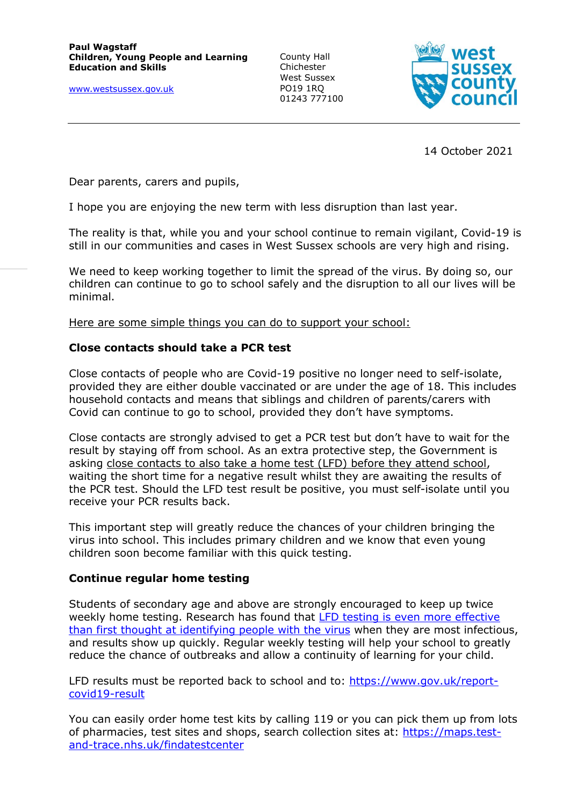[www.westsussex.gov.uk](http://www.westsussex.gov.uk/)

County Hall Chichester West Sussex PO19 1RQ 01243 777100



14 October 2021

Dear parents, carers and pupils,

I hope you are enjoying the new term with less disruption than last year.

The reality is that, while you and your school continue to remain vigilant, Covid-19 is still in our communities and cases in West Sussex schools are very high and rising.

We need to keep working together to limit the spread of the virus. By doing so, our children can continue to go to school safely and the disruption to all our lives will be minimal.

Here are some simple things you can do to support your school:

### **Close contacts should take a PCR test**

Close contacts of people who are Covid-19 positive no longer need to self-isolate, provided they are either double vaccinated or are under the age of 18. This includes household contacts and means that siblings and children of parents/carers with Covid can continue to go to school, provided they don't have symptoms.

Close contacts are strongly advised to get a PCR test but don't have to wait for the result by staying off from school. As an extra protective step, the Government is asking close contacts to also take a home test (LFD) before they attend school, waiting the short time for a negative result whilst they are awaiting the results of the PCR test. Should the LFD test result be positive, you must self-isolate until you receive your PCR results back.

This important step will greatly reduce the chances of your children bringing the virus into school. This includes primary children and we know that even young children soon become familiar with this quick testing.

### **Continue regular home testing**

Students of secondary age and above are strongly encouraged to keep up twice weekly home testing. Research has found that LFD testing is even [more effective](https://www.bbc.co.uk/news/health-58899612)  [than first thought at identifying people with the virus](https://www.bbc.co.uk/news/health-58899612) when they are most infectious, and results show up quickly. Regular weekly testing will help your school to greatly reduce the chance of outbreaks and allow a continuity of learning for your child.

LFD results must be reported back to school and to: [https://www.gov.uk/report](https://www.gov.uk/report-covid19-result)[covid19-result](https://www.gov.uk/report-covid19-result)

You can easily order home test kits by calling 119 or you can pick them up from lots of pharmacies, test sites and shops, search collection sites at: [https://maps.test](https://maps.test-and-trace.nhs.uk/findatestcenter)[and-trace.nhs.uk/findatestcenter](https://maps.test-and-trace.nhs.uk/findatestcenter)